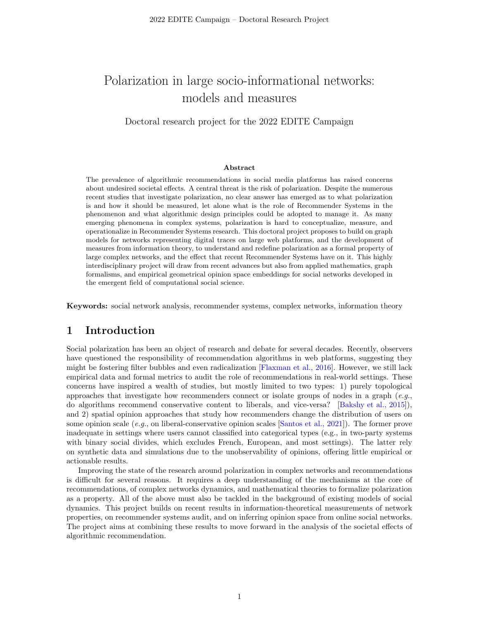# Polarization in large socio-informational networks: models and measures

Doctoral research project for the 2022 EDITE Campaign

#### Abstract

The prevalence of algorithmic recommendations in social media platforms has raised concerns about undesired societal effects. A central threat is the risk of polarization. Despite the numerous recent studies that investigate polarization, no clear answer has emerged as to what polarization is and how it should be measured, let alone what is the role of Recommender Systems in the phenomenon and what algorithmic design principles could be adopted to manage it. As many emerging phenomena in complex systems, polarization is hard to conceptualize, measure, and operationalize in Recommender Systems research. This doctoral project proposes to build on graph models for networks representing digital traces on large web platforms, and the development of measures from information theory, to understand and redefine polarization as a formal property of large complex networks, and the effect that recent Recommender Systems have on it. This highly interdisciplinary project will draw from recent advances but also from applied mathematics, graph formalisms, and empirical geometrical opinion space embeddings for social networks developed in the emergent field of computational social science.

Keywords: social network analysis, recommender systems, complex networks, information theory

#### 1 Introduction

Social polarization has been an object of research and debate for several decades. Recently, observers have questioned the responsibility of recommendation algorithms in web platforms, suggesting they might be fostering filter bubbles and even radicalization [\[Flaxman et al., 2016\]](#page-3-0). However, we still lack empirical data and formal metrics to audit the role of recommendations in real-world settings. These concerns have inspired a wealth of studies, but mostly limited to two types: 1) purely topological approaches that investigate how recommenders connect or isolate groups of nodes in a graph  $(e.g.,)$ do algorithms recommend conservative content to liberals, and vice-versa? [\[Bakshy et al., 2015\]](#page-3-1)), and 2) spatial opinion approaches that study how recommenders change the distribution of users on some opinion scale (e.g., on liberal-conservative opinion scales [\[Santos et al., 2021\]](#page-3-2)). The former prove inadequate in settings where users cannot classified into categorical types (e.g., in two-party systems with binary social divides, which excludes French, European, and most settings). The latter rely on synthetic data and simulations due to the unobservability of opinions, offering little empirical or actionable results.

Improving the state of the research around polarization in complex networks and recommendations is difficult for several reasons. It requires a deep understanding of the mechanisms at the core of recommendations, of complex networks dynamics, and mathematical theories to formalize polarization as a property. All of the above must also be tackled in the background of existing models of social dynamics. This project builds on recent results in information-theoretical measurements of network properties, on recommender systems audit, and on inferring opinion space from online social networks. The project aims at combining these results to move forward in the analysis of the societal effects of algorithmic recommendation.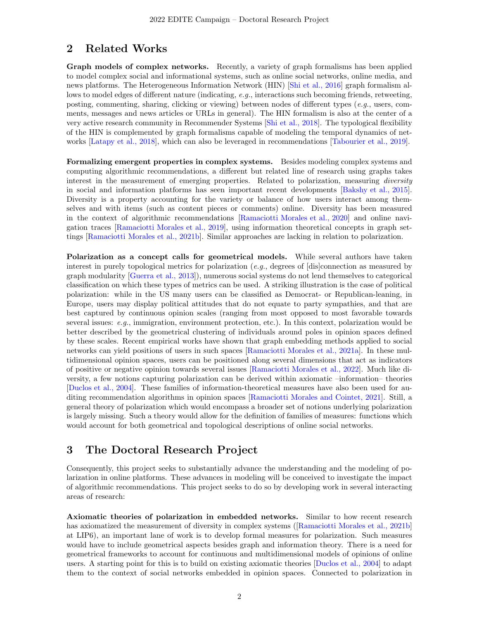# 2 Related Works

Graph models of complex networks. Recently, a variety of graph formalisms has been applied to model complex social and informational systems, such as online social networks, online media, and news platforms. The Heterogeneous Information Network (HIN) [\[Shi et al., 2016\]](#page-3-3) graph formalism allows to model edges of different nature (indicating, e.g., interactions such becoming friends, retweeting, posting, commenting, sharing, clicking or viewing) between nodes of different types (e.g., users, comments, messages and news articles or URLs in general). The HIN formalism is also at the center of a very active research community in Recommender Systems [\[Shi et al., 2018\]](#page-3-4). The typological flexibility of the HIN is complemented by graph formalisms capable of modeling the temporal dynamics of networks [\[Latapy et al., 2018\]](#page-3-5), which can also be leveraged in recommendations [\[Tabourier et al., 2019\]](#page-3-6).

Formalizing emergent properties in complex systems. Besides modeling complex systems and computing algorithmic recommendations, a different but related line of research using graphs takes interest in the measurement of emerging properties. Related to polarization, measuring *diversity* in social and information platforms has seen important recent developments [\[Bakshy et al., 2015\]](#page-3-1). Diversity is a property accounting for the variety or balance of how users interact among themselves and with items (such as content pieces or comments) online. Diversity has been measured in the context of algorithmic recommendations [\[Ramaciotti Morales et al., 2020\]](#page-3-7) and online navigation traces [\[Ramaciotti Morales et al., 2019\]](#page-3-8), using information theoretical concepts in graph settings [\[Ramaciotti Morales et al., 2021b\]](#page-3-9). Similar approaches are lacking in relation to polarization.

Polarization as a concept calls for geometrical models. While several authors have taken interest in purely topological metrics for polarization (e.g., degrees of  $[dis]$ connection as measured by graph modularity [\[Guerra et al., 2013\]](#page-3-10)), numerous social systems do not lend themselves to categorical classification on which these types of metrics can be used. A striking illustration is the case of political polarization: while in the US many users can be classified as Democrat- or Republican-leaning, in Europe, users may display political attitudes that do not equate to party sympathies, and that are best captured by continuous opinion scales (ranging from most opposed to most favorable towards several issues: e.g., immigration, environment protection, etc.). In this context, polarization would be better described by the geometrical clustering of individuals around poles in opinion spaces defined by these scales. Recent empirical works have shown that graph embedding methods applied to social networks can yield positions of users in such spaces [\[Ramaciotti Morales et al., 2021a\]](#page-3-11). In these multidimensional opinion spaces, users can be positioned along several dimensions that act as indicators of positive or negative opinion towards several issues [\[Ramaciotti Morales et al., 2022\]](#page-3-12). Much like diversity, a few notions capturing polarization can be derived within axiomatic –information– theories [\[Duclos et al., 2004\]](#page-3-13). These families of information-theoretical measures have also been used for auditing recommendation algorithms in opinion spaces [\[Ramaciotti Morales and Cointet, 2021\]](#page-3-14). Still, a general theory of polarization which would encompass a broader set of notions underlying polarization is largely missing. Such a theory would allow for the definition of families of measures: functions which would account for both geometrical and topological descriptions of online social networks.

### 3 The Doctoral Research Project

Consequently, this project seeks to substantially advance the understanding and the modeling of polarization in online platforms. These advances in modeling will be conceived to investigate the impact of algorithmic recommendations. This project seeks to do so by developing work in several interacting areas of research:

Axiomatic theories of polarization in embedded networks. Similar to how recent research has axiomatized the measurement of diversity in complex systems ([\[Ramaciotti Morales et al., 2021b\]](#page-3-9) at LIP6), an important lane of work is to develop formal measures for polarization. Such measures would have to include geometrical aspects besides graph and information theory. There is a need for geometrical frameworks to account for continuous and multidimensional models of opinions of online users. A starting point for this is to build on existing axiomatic theories [\[Duclos et al., 2004\]](#page-3-13) to adapt them to the context of social networks embedded in opinion spaces. Connected to polarization in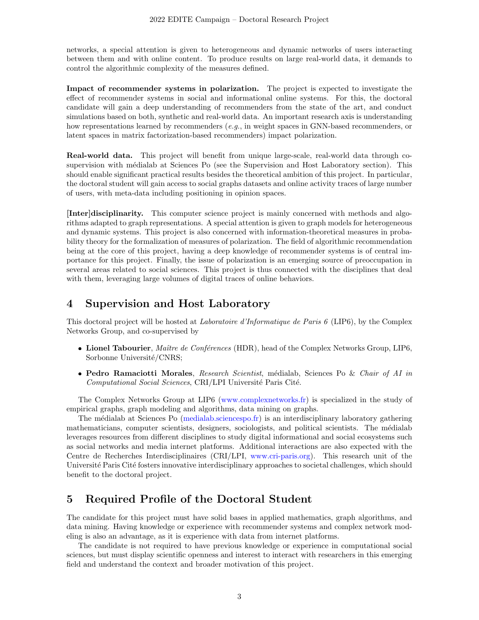networks, a special attention is given to heterogeneous and dynamic networks of users interacting between them and with online content. To produce results on large real-world data, it demands to control the algorithmic complexity of the measures defined.

Impact of recommender systems in polarization. The project is expected to investigate the effect of recommender systems in social and informational online systems. For this, the doctoral candidate will gain a deep understanding of recommenders from the state of the art, and conduct simulations based on both, synthetic and real-world data. An important research axis is understanding how representations learned by recommenders (e.g., in weight spaces in GNN-based recommenders, or latent spaces in matrix factorization-based recommenders) impact polarization.

Real-world data. This project will benefit from unique large-scale, real-world data through cosupervision with médialab at Sciences Po (see the Supervision and Host Laboratory section). This should enable significant practical results besides the theoretical ambition of this project. In particular, the doctoral student will gain access to social graphs datasets and online activity traces of large number of users, with meta-data including positioning in opinion spaces.

[Inter]disciplinarity. This computer science project is mainly concerned with methods and algorithms adapted to graph representations. A special attention is given to graph models for heterogeneous and dynamic systems. This project is also concerned with information-theoretical measures in probability theory for the formalization of measures of polarization. The field of algorithmic recommendation being at the core of this project, having a deep knowledge of recommender systems is of central importance for this project. Finally, the issue of polarization is an emerging source of preoccupation in several areas related to social sciences. This project is thus connected with the disciplines that deal with them, leveraging large volumes of digital traces of online behaviors.

#### 4 Supervision and Host Laboratory

This doctoral project will be hosted at Laboratoire d'Informatique de Paris 6 (LIP6), by the Complex Networks Group, and co-supervised by

- Lionel Tabourier, Maître de Conférences (HDR), head of the Complex Networks Group, LIP6, Sorbonne Université/CNRS;
- Pedro Ramaciotti Morales, Research Scientist, médialab, Sciences Po & Chair of AI in Computational Social Sciences, CRI/LPI Université Paris Cité.

The Complex Networks Group at LIP6 [\(www.complexnetworks.fr\)](http://www.complexnetworks.fr) is specialized in the study of empirical graphs, graph modeling and algorithms, data mining on graphs.

The m´edialab at Sciences Po [\(medialab.sciencespo.fr\)](https://medialab.sciencespo.fr/) is an interdisciplinary laboratory gathering mathematicians, computer scientists, designers, sociologists, and political scientists. The médialab leverages resources from different disciplines to study digital informational and social ecosystems such as social networks and media internet platforms. Additional interactions are also expected with the Centre de Recherches Interdisciplinaires (CRI/LPI, [www.cri-paris.org\)](www.cri-paris.org). This research unit of the Université Paris Cité fosters innovative interdisciplinary approaches to societal challenges, which should benefit to the doctoral project.

### 5 Required Profile of the Doctoral Student

The candidate for this project must have solid bases in applied mathematics, graph algorithms, and data mining. Having knowledge or experience with recommender systems and complex network modeling is also an advantage, as it is experience with data from internet platforms.

The candidate is not required to have previous knowledge or experience in computational social sciences, but must display scientific openness and interest to interact with researchers in this emerging field and understand the context and broader motivation of this project.